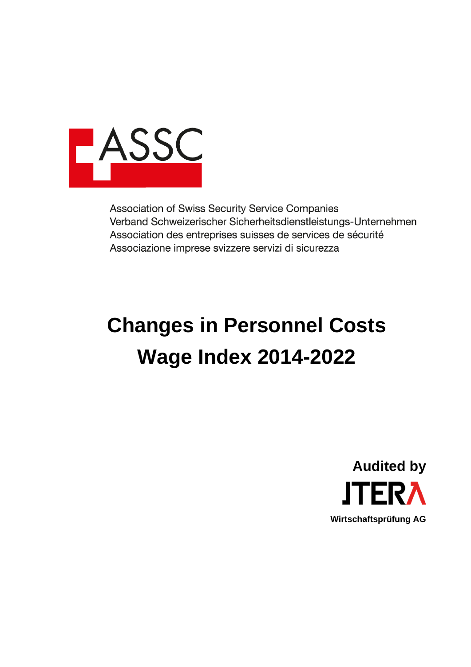

Association of Swiss Security Service Companies Verband Schweizerischer Sicherheitsdienstleistungs-Unternehmen Association des entreprises suisses de services de sécurité Associazione imprese svizzere servizi di sicurezza

# **Changes in Personnel Costs Wage Index 2014-2022**

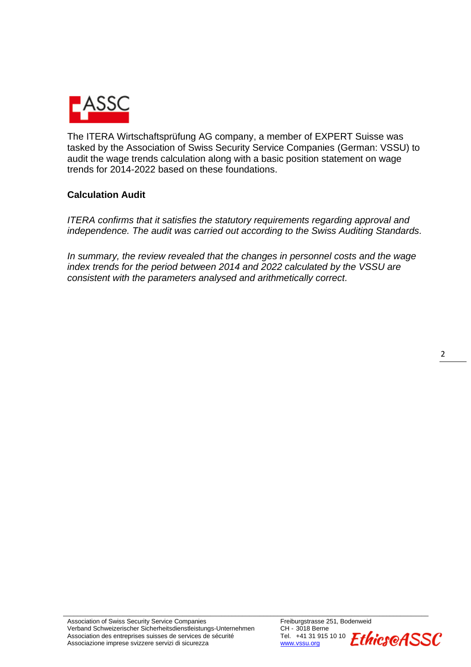

The ITERA Wirtschaftsprüfung AG company, a member of EXPERT Suisse was tasked by the Association of Swiss Security Service Companies (German: VSSU) to audit the wage trends calculation along with a basic position statement on wage trends for 2014-2022 based on these foundations.

#### **Calculation Audit**

*ITERA confirms that it satisfies the statutory requirements regarding approval and independence. The audit was carried out according to the Swiss Auditing Standards.*

*In summary, the review revealed that the changes in personnel costs and the wage index trends for the period between 2014 and 2022 calculated by the VSSU are consistent with the parameters analysed and arithmetically correct.*

\_\_\_\_\_\_\_\_\_\_\_\_\_\_\_\_\_\_\_\_\_\_\_\_\_\_\_\_\_\_\_\_\_\_\_\_\_\_\_\_\_\_\_\_\_\_\_\_\_\_\_\_\_\_\_\_\_\_\_\_\_\_\_\_\_\_\_\_\_\_\_\_\_\_\_\_\_\_\_\_\_\_\_\_\_\_\_\_\_\_\_\_\_\_\_\_\_\_\_\_\_\_\_\_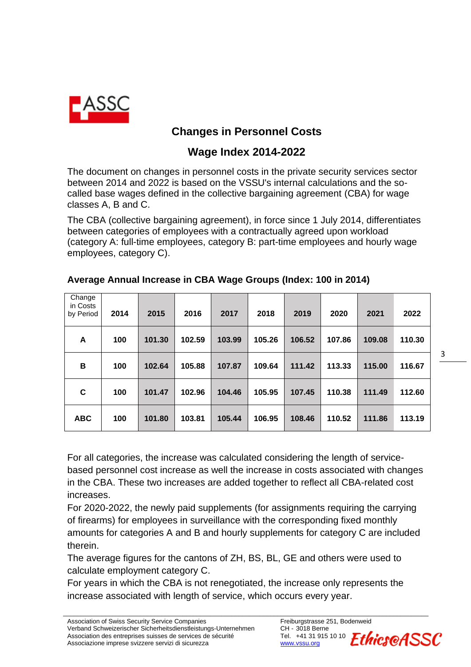

## **Changes in Personnel Costs**

### **Wage Index 2014-2022**

The document on changes in personnel costs in the private security services sector between 2014 and 2022 is based on the VSSU's internal calculations and the socalled base wages defined in the collective bargaining agreement (CBA) for wage classes A, B and C.

The CBA (collective bargaining agreement), in force since 1 July 2014, differentiates between categories of employees with a contractually agreed upon workload (category A: full-time employees, category B: part-time employees and hourly wage employees, category C).

| Change<br>in Costs<br>by Period | 2014 | 2015   | 2016   | 2017   | 2018   | 2019   | 2020   | 2021   | 2022   |
|---------------------------------|------|--------|--------|--------|--------|--------|--------|--------|--------|
| A                               | 100  | 101.30 | 102.59 | 103.99 | 105.26 | 106.52 | 107.86 | 109.08 | 110.30 |
| B                               | 100  | 102.64 | 105.88 | 107.87 | 109.64 | 111.42 | 113.33 | 115.00 | 116.67 |
| C                               | 100  | 101.47 | 102.96 | 104.46 | 105.95 | 107.45 | 110.38 | 111.49 | 112.60 |
| <b>ABC</b>                      | 100  | 101.80 | 103.81 | 105.44 | 106.95 | 108.46 | 110.52 | 111.86 | 113.19 |

#### **Average Annual Increase in CBA Wage Groups (Index: 100 in 2014)**

For all categories, the increase was calculated considering the length of servicebased personnel cost increase as well the increase in costs associated with changes in the CBA. These two increases are added together to reflect all CBA-related cost increases.

For 2020-2022, the newly paid supplements (for assignments requiring the carrying of firearms) for employees in surveillance with the corresponding fixed monthly amounts for categories A and B and hourly supplements for category C are included therein.

The average figures for the cantons of ZH, BS, BL, GE and others were used to calculate employment category C.

For years in which the CBA is not renegotiated, the increase only represents the increase associated with length of service, which occurs every year.

\_\_\_\_\_\_\_\_\_\_\_\_\_\_\_\_\_\_\_\_\_\_\_\_\_\_\_\_\_\_\_\_\_\_\_\_\_\_\_\_\_\_\_\_\_\_\_\_\_\_\_\_\_\_\_\_\_\_\_\_\_\_\_\_\_\_\_\_\_\_\_\_\_\_\_\_\_\_\_\_\_\_\_\_\_\_\_\_\_\_\_\_\_\_\_\_\_\_\_\_\_\_\_\_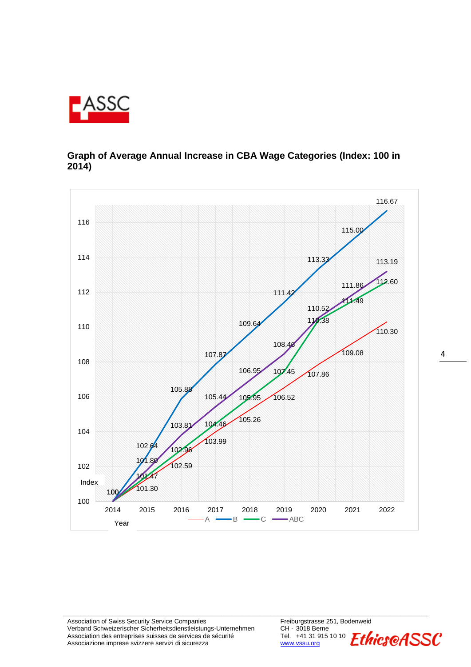

#### **Graph of Average Annual Increase in CBA Wage Categories (Index: 100 in 2014)**



\_\_\_\_\_\_\_\_\_\_\_\_\_\_\_\_\_\_\_\_\_\_\_\_\_\_\_\_\_\_\_\_\_\_\_\_\_\_\_\_\_\_\_\_\_\_\_\_\_\_\_\_\_\_\_\_\_\_\_\_\_\_\_\_\_\_\_\_\_\_\_\_\_\_\_\_\_\_\_\_\_\_\_\_\_\_\_\_\_\_\_\_\_\_\_\_\_\_\_\_\_\_\_\_

Association of Swiss Security Service Companies<br>Verband Schweizerischer Sicherheitsdienstleistungs-Unternehmen CH - 3018 Berne Verband Schweizerischer Sicherheitsdienstleistungs-Unternehmen CH - 3018 Berne<br>Association des entreprises suisses de services de sécurité Tel. +41 31 915 10 10 Association des entreprises suisses de services de sécurité Tel. +41 31 9<br>Associazione imprese svizzere servizi di sicurezza municipale de services de servici di sicurezza Associazione imprese svizzere servizi di sicurezza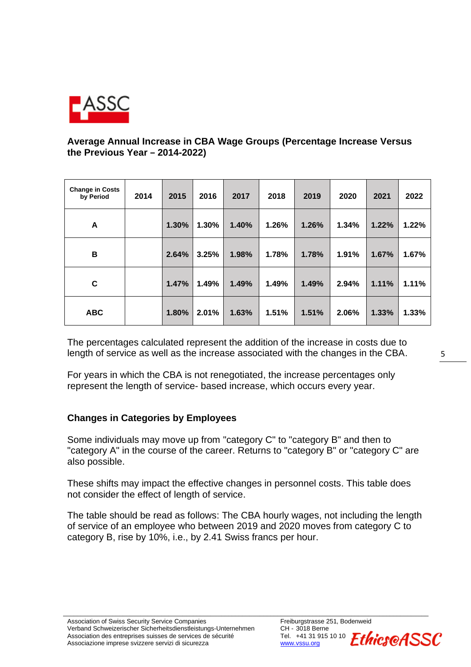

#### **Average Annual Increase in CBA Wage Groups (Percentage Increase Versus the Previous Year ‒ 2014-2022)**

| <b>Change in Costs</b><br>by Period | 2014 | 2015  | 2016  | 2017  | 2018  | 2019  | 2020  | 2021  | 2022  |
|-------------------------------------|------|-------|-------|-------|-------|-------|-------|-------|-------|
| A                                   |      | 1.30% | 1.30% | 1.40% | 1.26% | 1.26% | 1.34% | 1.22% | 1.22% |
| В                                   |      | 2.64% | 3.25% | 1.98% | 1.78% | 1.78% | 1.91% | 1.67% | 1.67% |
| C                                   |      | 1.47% | 1.49% | 1.49% | 1.49% | 1.49% | 2.94% | 1.11% | 1.11% |
| <b>ABC</b>                          |      | 1.80% | 2.01% | 1.63% | 1.51% | 1.51% | 2.06% | 1.33% | 1.33% |

The percentages calculated represent the addition of the increase in costs due to length of service as well as the increase associated with the changes in the CBA.

For years in which the CBA is not renegotiated, the increase percentages only represent the length of service- based increase, which occurs every year.

#### **Changes in Categories by Employees**

Some individuals may move up from "category C" to "category B" and then to "category A" in the course of the career. Returns to "category B" or "category C" are also possible.

These shifts may impact the effective changes in personnel costs. This table does not consider the effect of length of service.

The table should be read as follows: The CBA hourly wages, not including the length of service of an employee who between 2019 and 2020 moves from category C to category B, rise by 10%, i.e., by 2.41 Swiss francs per hour.

\_\_\_\_\_\_\_\_\_\_\_\_\_\_\_\_\_\_\_\_\_\_\_\_\_\_\_\_\_\_\_\_\_\_\_\_\_\_\_\_\_\_\_\_\_\_\_\_\_\_\_\_\_\_\_\_\_\_\_\_\_\_\_\_\_\_\_\_\_\_\_\_\_\_\_\_\_\_\_\_\_\_\_\_\_\_\_\_\_\_\_\_\_\_\_\_\_\_\_\_\_\_\_\_